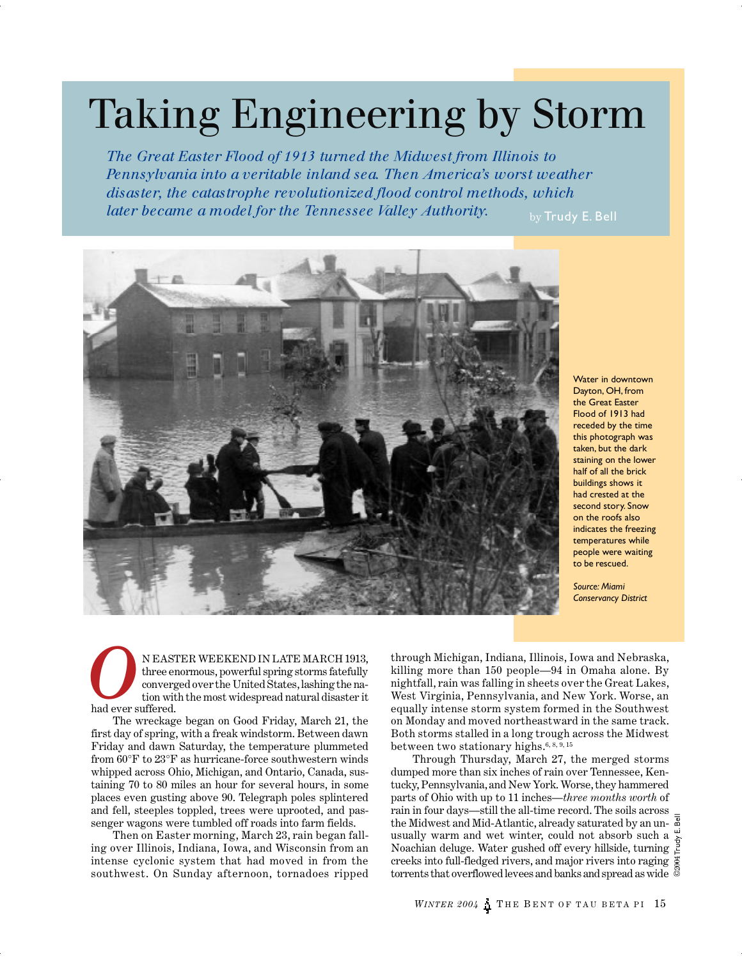# Taking Engineering by Storm

*The Great Easter Flood of 1913 turned the Midwest from Illinois to Pennsylvania into a veritable inland sea. Then America's worst weather disaster, the catastrophe revolutionized flood control methods, which later became a model for the Tennessee Valley Authority.* by Trudy E. Bell



Water in downtown Dayton, OH, from the Great Easter Flood of 1913 had receded by the time this photograph was taken, but the dark staining on the lower half of all the brick buildings shows it had crested at the second story. Snow on the roofs also indicates the freezing temperatures while people were waiting to be rescued.

*Source: Miami Conservancy District*

N EASTER WEEKEND IN LATE MARCH 1913, three enormous, powerful spring storms fatefully converged over the United States, lashing the nation with the most widespread natural disaster it had ever suffered. **o**<br>had ever s

The wreckage began on Good Friday, March 21, the first day of spring, with a freak windstorm. Between dawn Friday and dawn Saturday, the temperature plummeted from 60°F to 23°F as hurricane-force southwestern winds whipped across Ohio, Michigan, and Ontario, Canada, sustaining 70 to 80 miles an hour for several hours, in some places even gusting above 90. Telegraph poles splintered and fell, steeples toppled, trees were uprooted, and passenger wagons were tumbled off roads into farm fields.

Then on Easter morning, March 23, rain began falling over Illinois, Indiana, Iowa, and Wisconsin from an intense cyclonic system that had moved in from the southwest. On Sunday afternoon, tornadoes ripped

through Michigan, Indiana, Illinois, Iowa and Nebraska, killing more than 150 people—94 in Omaha alone. By nightfall, rain was falling in sheets over the Great Lakes, West Virginia, Pennsylvania, and New York. Worse, an equally intense storm system formed in the Southwest on Monday and moved northeastward in the same track. Both storms stalled in a long trough across the Midwest between two stationary highs.<sup>6, 8, 9, 15</sup>

Through Thursday, March 27, the merged storms dumped more than six inches of rain over Tennessee, Kentucky, Pennsylvania, and New York. Worse, they hammered parts of Ohio with up to 11 inches—*three months worth* of rain in four days—still the all-time record. The soils across the Midwest and Mid-Atlantic, already saturated by an unusually warm and wet winter, could not absorb such a Noachian deluge. Water gushed off every hillside, turning creeks into full-fledged rivers, and major rivers into raging torrents that overflowed levees and banks and spread as wide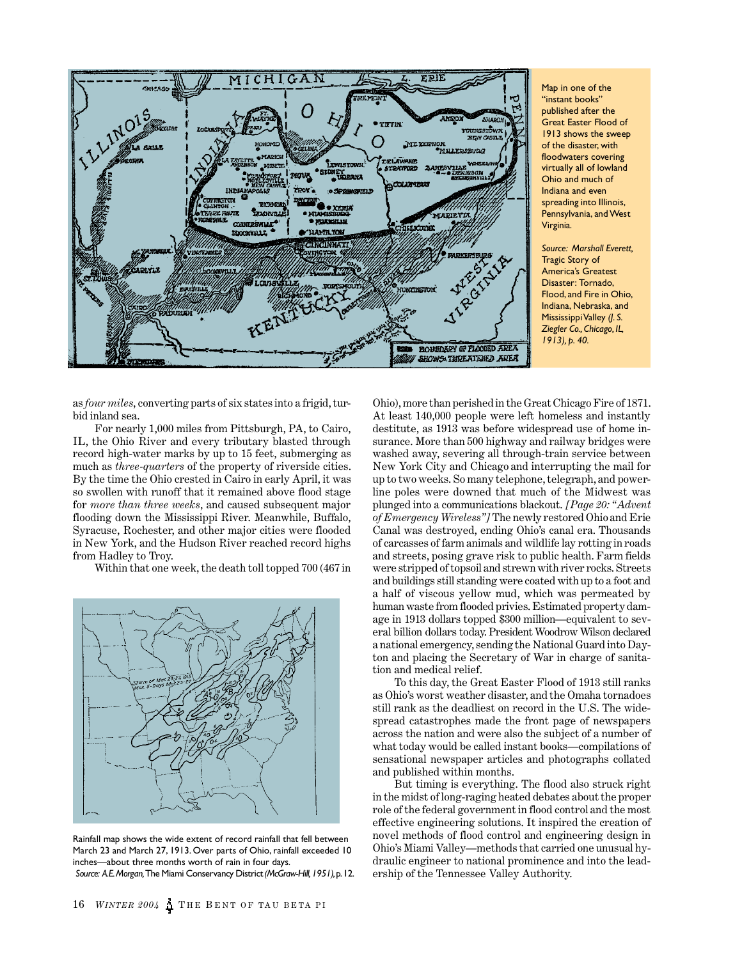

Map in one of the "instant books" published after the Great Easter Flood of 1913 shows the sweep of the disaster, with floodwaters covering virtually all of lowland Ohio and much of Indiana and even spreading into Illinois, Pennsylvania, and West Virginia.

*Source: Marshall Everett,* Tragic Story of America's Greatest Disaster: Tornado, Flood, and Fire in Ohio, Indiana, Nebraska, and Mississippi Valley *(J. S. Ziegler Co., Chicago, IL, 1913), p. 40.*

as *four miles*, converting parts of six states into a frigid, turbid inland sea.

For nearly 1,000 miles from Pittsburgh, PA, to Cairo, IL, the Ohio River and every tributary blasted through record high-water marks by up to 15 feet, submerging as much as *three-quarters* of the property of riverside cities. By the time the Ohio crested in Cairo in early April, it was so swollen with runoff that it remained above flood stage for *more than three weeks*, and caused subsequent major flooding down the Mississippi River. Meanwhile, Buffalo, Syracuse, Rochester, and other major cities were flooded in New York, and the Hudson River reached record highs from Hadley to Troy.

Within that one week, the death toll topped 700 (467 in



Rainfall map shows the wide extent of record rainfall that fell between March 23 and March 27, 1913. Over parts of Ohio, rainfall exceeded 10 inches—about three months worth of rain in four days. *Source: A.E. Morgan,* The Miami Conservancy District *(McGraw-Hill, 1951),* p. 12.

Ohio), more than perished in the Great Chicago Fire of 1871. At least 140,000 people were left homeless and instantly destitute, as 1913 was before widespread use of home insurance. More than 500 highway and railway bridges were washed away, severing all through-train service between New York City and Chicago and interrupting the mail for up to two weeks. So many telephone, telegraph, and powerline poles were downed that much of the Midwest was plunged into a communications blackout. *[Page 20: "Advent of Emergency Wireless"]* The newly restored Ohio and Erie Canal was destroyed, ending Ohio's canal era. Thousands of carcasses of farm animals and wildlife lay rotting in roads and streets, posing grave risk to public health. Farm fields were stripped of topsoil and strewn with river rocks. Streets and buildings still standing were coated with up to a foot and a half of viscous yellow mud, which was permeated by human waste from flooded privies. Estimated property damage in 1913 dollars topped \$300 million—equivalent to several billion dollars today. President Woodrow Wilson declared a national emergency, sending the National Guard into Dayton and placing the Secretary of War in charge of sanitation and medical relief.

To this day, the Great Easter Flood of 1913 still ranks as Ohio's worst weather disaster, and the Omaha tornadoes still rank as the deadliest on record in the U.S. The widespread catastrophes made the front page of newspapers across the nation and were also the subject of a number of what today would be called instant books—compilations of sensational newspaper articles and photographs collated and published within months.

But timing is everything. The flood also struck right in the midst of long-raging heated debates about the proper role of the federal government in flood control and the most effective engineering solutions. It inspired the creation of novel methods of flood control and engineering design in Ohio's Miami Valley—methods that carried one unusual hydraulic engineer to national prominence and into the leadership of the Tennessee Valley Authority.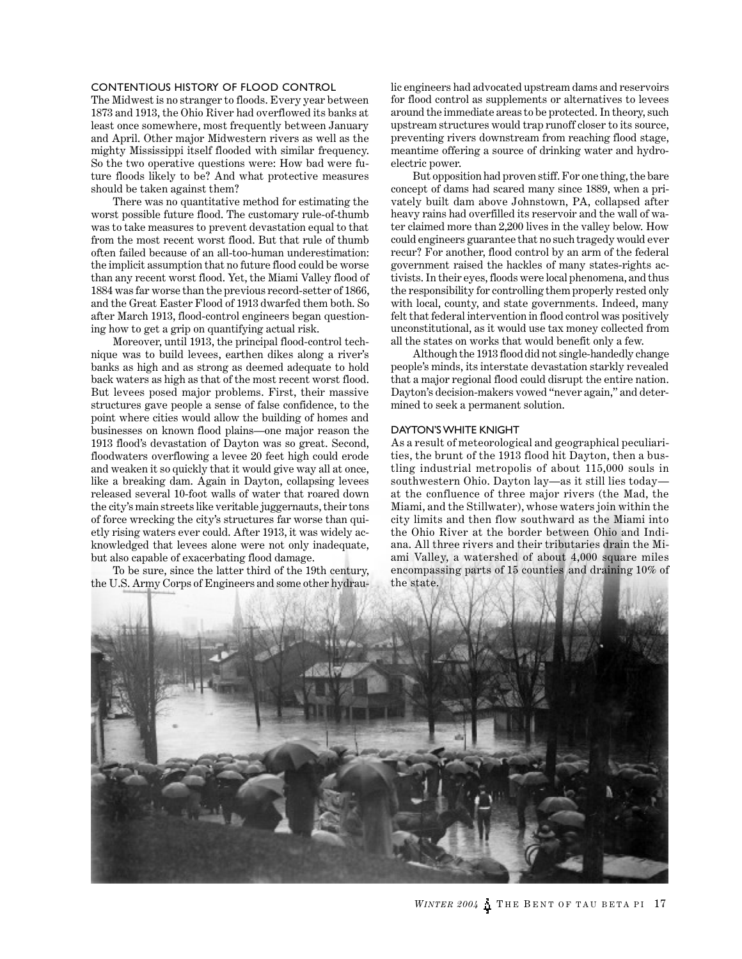## CONTENTIOUS HISTORY OF FLOOD CONTROL

The Midwest is no stranger to floods. Every year between 1873 and 1913, the Ohio River had overflowed its banks at least once somewhere, most frequently between January and April. Other major Midwestern rivers as well as the mighty Mississippi itself flooded with similar frequency. So the two operative questions were: How bad were future floods likely to be? And what protective measures should be taken against them?

There was no quantitative method for estimating the worst possible future flood. The customary rule-of-thumb was to take measures to prevent devastation equal to that from the most recent worst flood. But that rule of thumb often failed because of an all-too-human underestimation: the implicit assumption that no future flood could be worse than any recent worst flood. Yet, the Miami Valley flood of 1884 was far worse than the previous record-setter of 1866, and the Great Easter Flood of 1913 dwarfed them both. So after March 1913, flood-control engineers began questioning how to get a grip on quantifying actual risk.

Moreover, until 1913, the principal flood-control technique was to build levees, earthen dikes along a river's banks as high and as strong as deemed adequate to hold back waters as high as that of the most recent worst flood. But levees posed major problems. First, their massive structures gave people a sense of false confidence, to the point where cities would allow the building of homes and businesses on known flood plains—one major reason the 1913 flood's devastation of Dayton was so great. Second, floodwaters overflowing a levee 20 feet high could erode and weaken it so quickly that it would give way all at once, like a breaking dam. Again in Dayton, collapsing levees released several 10-foot walls of water that roared down the city's main streets like veritable juggernauts, their tons of force wrecking the city's structures far worse than quietly rising waters ever could. After 1913, it was widely acknowledged that levees alone were not only inadequate, but also capable of exacerbating flood damage.

To be sure, since the latter third of the 19th century, the U.S. Army Corps of Engineers and some other hydraulic engineers had advocated upstream dams and reservoirs for flood control as supplements or alternatives to levees around the immediate areas to be protected. In theory, such upstream structures would trap runoff closer to its source, preventing rivers downstream from reaching flood stage, meantime offering a source of drinking water and hydroelectric power.

But opposition had proven stiff. For one thing, the bare concept of dams had scared many since 1889, when a privately built dam above Johnstown, PA, collapsed after heavy rains had overfilled its reservoir and the wall of water claimed more than 2,200 lives in the valley below. How could engineers guarantee that no such tragedy would ever recur? For another, flood control by an arm of the federal government raised the hackles of many states-rights activists. In their eyes, floods were local phenomena, and thus the responsibility for controlling them properly rested only with local, county, and state governments. Indeed, many felt that federal intervention in flood control was positively unconstitutional, as it would use tax money collected from all the states on works that would benefit only a few.

Although the 1913 flood did not single-handedly change people's minds, its interstate devastation starkly revealed that a major regional flood could disrupt the entire nation. Dayton's decision-makers vowed "never again," and determined to seek a permanent solution.

#### DAYTON'S WHITE KNIGHT

As a result of meteorological and geographical peculiarities, the brunt of the 1913 flood hit Dayton, then a bustling industrial metropolis of about 115,000 souls in southwestern Ohio. Dayton lay—as it still lies today at the confluence of three major rivers (the Mad, the Miami, and the Stillwater), whose waters join within the city limits and then flow southward as the Miami into the Ohio River at the border between Ohio and Indiana. All three rivers and their tributaries drain the Miami Valley, a watershed of about 4,000 square miles encompassing parts of 15 counties and draining 10% of the state.

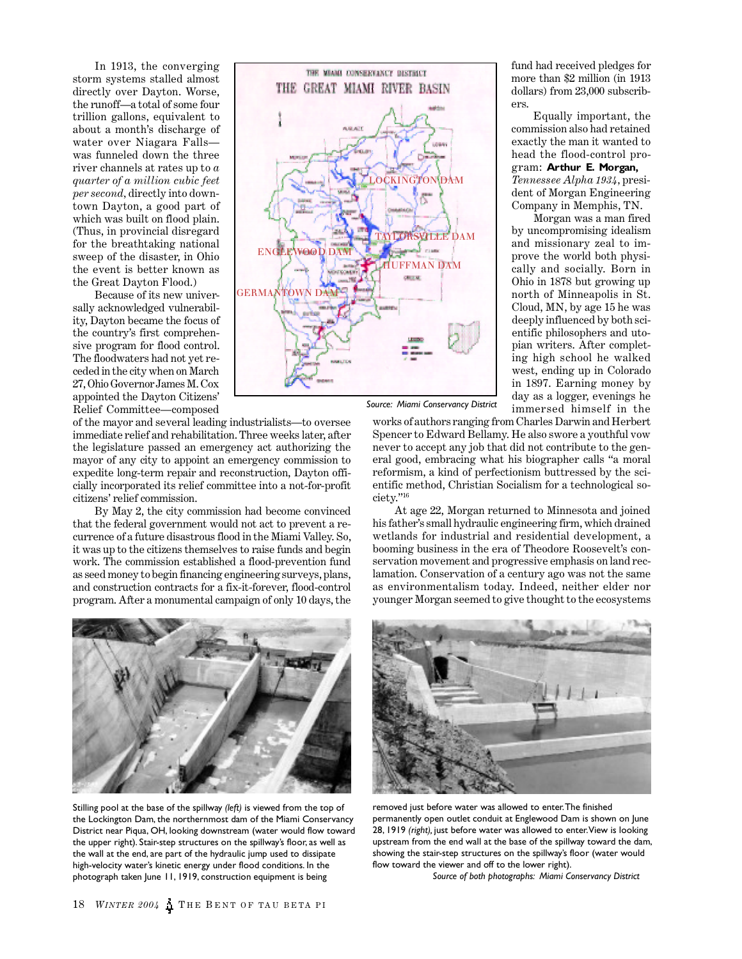In 1913, the converging storm systems stalled almost directly over Dayton. Worse, the runoff—a total of some four trillion gallons, equivalent to about a month's discharge of water over Niagara Falls was funneled down the three river channels at rates up to *a quarter of a million cubic feet per second,* directly into downtown Dayton, a good part of which was built on flood plain. (Thus, in provincial disregard for the breathtaking national sweep of the disaster, in Ohio the event is better known as the Great Dayton Flood.)

Because of its new universally acknowledged vulnerability, Dayton became the focus of the country's first comprehensive program for flood control. The floodwaters had not yet receded in the city when on March 27, Ohio Governor James M. Cox appointed the Dayton Citizens' Relief Committee—composed



*Source: Miami Conservancy District*

of the mayor and several leading industrialists—to oversee immediate relief and rehabilitation. Three weeks later, after the legislature passed an emergency act authorizing the mayor of any city to appoint an emergency commission to expedite long-term repair and reconstruction, Dayton officially incorporated its relief committee into a not-for-profit citizens' relief commission.

By May 2, the city commission had become convinced that the federal government would not act to prevent a recurrence of a future disastrous flood in the Miami Valley. So, it was up to the citizens themselves to raise funds and begin work. The commission established a flood-prevention fund as seed money to begin financing engineering surveys, plans, and construction contracts for a fix-it-forever, flood-control program. After a monumental campaign of only 10 days, the



Stilling pool at the base of the spillway *(left)* is viewed from the top of the Lockington Dam, the northernmost dam of the Miami Conservancy District near Piqua, OH, looking downstream (water would flow toward the upper right). Stair-step structures on the spillway's floor, as well as the wall at the end, are part of the hydraulic jump used to dissipate high-velocity water's kinetic energy under flood conditions. In the photograph taken June 11, 1919, construction equipment is being

fund had received pledges for more than \$2 million (in 1913 dollars) from 23,000 subscribers.

Equally important, the commission also had retained exactly the man it wanted to head the flood-control program: **Arthur E. Morgan,** *Tennessee Alpha 1934,* president of Morgan Engineering Company in Memphis, TN.

Morgan was a man fired by uncompromising idealism and missionary zeal to improve the world both physically and socially. Born in Ohio in 1878 but growing up north of Minneapolis in St. Cloud, MN, by age 15 he was deeply influenced by both scientific philosophers and utopian writers. After completing high school he walked west, ending up in Colorado in 1897. Earning money by day as a logger, evenings he immersed himself in the

works of authors ranging from Charles Darwin and Herbert Spencer to Edward Bellamy. He also swore a youthful vow never to accept any job that did not contribute to the general good, embracing what his biographer calls "a moral reformism, a kind of perfectionism buttressed by the scientific method, Christian Socialism for a technological society."<sup>16</sup>

At age 22, Morgan returned to Minnesota and joined his father's small hydraulic engineering firm, which drained wetlands for industrial and residential development, a booming business in the era of Theodore Roosevelt's conservation movement and progressive emphasis on land reclamation. Conservation of a century ago was not the same as environmentalism today. Indeed, neither elder nor younger Morgan seemed to give thought to the ecosystems



removed just before water was allowed to enter. The finished permanently open outlet conduit at Englewood Dam is shown on June 28, 1919 *(right),* just before water was allowed to enter. View is looking upstream from the end wall at the base of the spillway toward the dam, showing the stair-step structures on the spillway's floor (water would flow toward the viewer and off to the lower right).

 *Source of both photographs: Miami Conservancy District*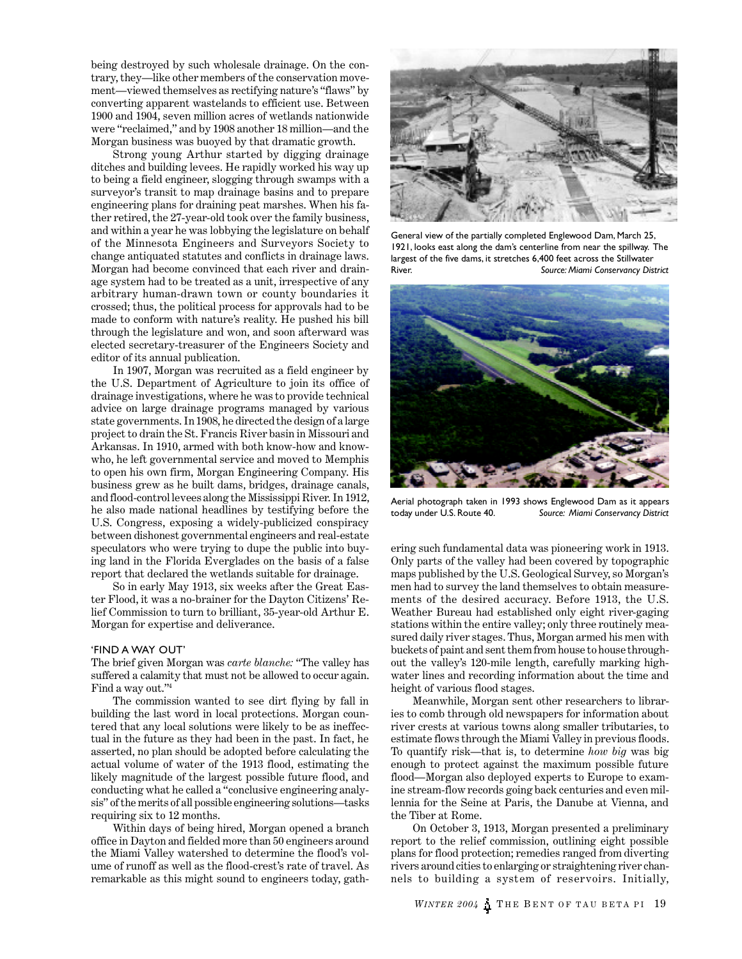being destroyed by such wholesale drainage. On the contrary, they—like other members of the conservation movement—viewed themselves as rectifying nature's "flaws" by converting apparent wastelands to efficient use. Between 1900 and 1904, seven million acres of wetlands nationwide were "reclaimed," and by 1908 another 18 million—and the Morgan business was buoyed by that dramatic growth.

Strong young Arthur started by digging drainage ditches and building levees. He rapidly worked his way up to being a field engineer, slogging through swamps with a surveyor's transit to map drainage basins and to prepare engineering plans for draining peat marshes. When his father retired, the 27-year-old took over the family business, and within a year he was lobbying the legislature on behalf of the Minnesota Engineers and Surveyors Society to change antiquated statutes and conflicts in drainage laws. Morgan had become convinced that each river and drainage system had to be treated as a unit, irrespective of any arbitrary human-drawn town or county boundaries it crossed; thus, the political process for approvals had to be made to conform with nature's reality. He pushed his bill through the legislature and won, and soon afterward was elected secretary-treasurer of the Engineers Society and editor of its annual publication.

In 1907, Morgan was recruited as a field engineer by the U.S. Department of Agriculture to join its office of drainage investigations, where he was to provide technical advice on large drainage programs managed by various state governments. In 1908, he directed the design of a large project to drain the St. Francis River basin in Missouri and Arkansas. In 1910, armed with both know-how and knowwho, he left governmental service and moved to Memphis to open his own firm, Morgan Engineering Company. His business grew as he built dams, bridges, drainage canals, and flood-control levees along the Mississippi River. In 1912, he also made national headlines by testifying before the U.S. Congress, exposing a widely-publicized conspiracy between dishonest governmental engineers and real-estate speculators who were trying to dupe the public into buying land in the Florida Everglades on the basis of a false report that declared the wetlands suitable for drainage.

So in early May 1913, six weeks after the Great Easter Flood, it was a no-brainer for the Dayton Citizens' Relief Commission to turn to brilliant, 35-year-old Arthur E. Morgan for expertise and deliverance.

### 'FIND A WAY OUT'

The brief given Morgan was *carte blanche:* "The valley has suffered a calamity that must not be allowed to occur again. Find a way out."<sup>4</sup>

The commission wanted to see dirt flying by fall in building the last word in local protections. Morgan countered that any local solutions were likely to be as ineffectual in the future as they had been in the past. In fact, he asserted, no plan should be adopted before calculating the actual volume of water of the 1913 flood, estimating the likely magnitude of the largest possible future flood, and conducting what he called a "conclusive engineering analysis" of the merits of all possible engineering solutions—tasks requiring six to 12 months.

Within days of being hired, Morgan opened a branch office in Dayton and fielded more than 50 engineers around the Miami Valley watershed to determine the flood's volume of runoff as well as the flood-crest's rate of travel. As remarkable as this might sound to engineers today, gath-



General view of the partially completed Englewood Dam, March 25, 1921, looks east along the dam's centerline from near the spillway. The largest of the five dams, it stretches 6,400 feet across the Stillwater River. *Source: Miami Conservancy District*



Aerial photograph taken in 1993 shows Englewood Dam as it appears today under U.S. Route 40. *Source: Miami Conservancy District*

ering such fundamental data was pioneering work in 1913. Only parts of the valley had been covered by topographic maps published by the U.S. Geological Survey, so Morgan's men had to survey the land themselves to obtain measurements of the desired accuracy. Before 1913, the U.S. Weather Bureau had established only eight river-gaging stations within the entire valley; only three routinely measured daily river stages. Thus, Morgan armed his men with buckets of paint and sent them from house to house throughout the valley's 120-mile length, carefully marking highwater lines and recording information about the time and height of various flood stages.

Meanwhile, Morgan sent other researchers to libraries to comb through old newspapers for information about river crests at various towns along smaller tributaries, to estimate flows through the Miami Valley in previous floods. To quantify risk—that is, to determine *how big* was big enough to protect against the maximum possible future flood—Morgan also deployed experts to Europe to examine stream-flow records going back centuries and even millennia for the Seine at Paris, the Danube at Vienna, and the Tiber at Rome.

On October 3, 1913, Morgan presented a preliminary report to the relief commission, outlining eight possible plans for flood protection; remedies ranged from diverting rivers around cities to enlarging or straightening river channels to building a system of reservoirs. Initially,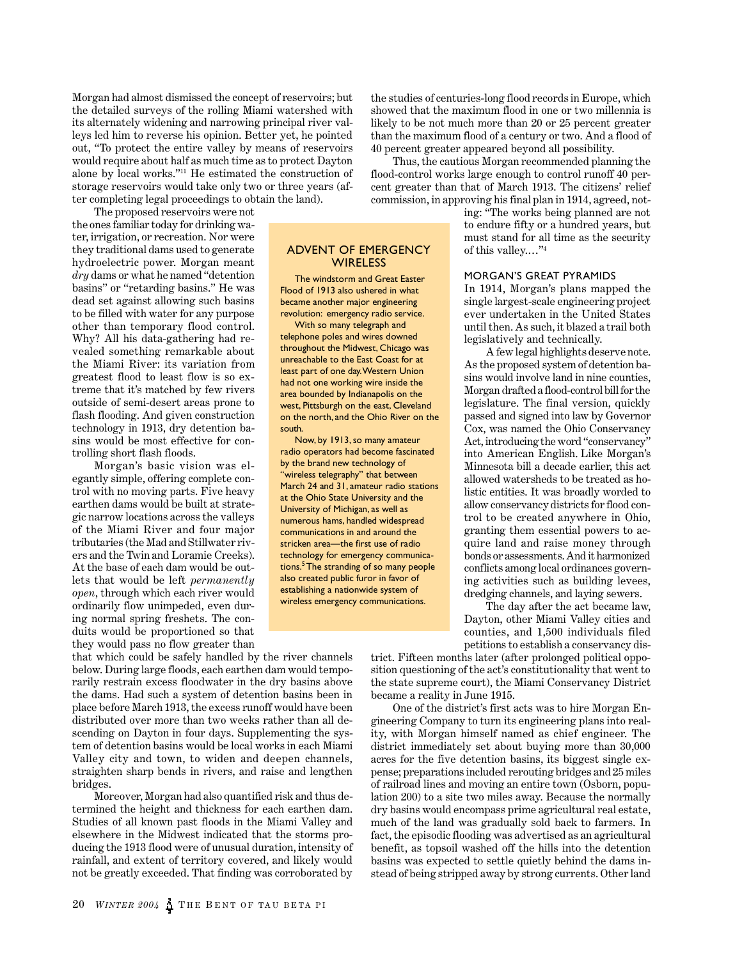Morgan had almost dismissed the concept of reservoirs; but the detailed surveys of the rolling Miami watershed with its alternately widening and narrowing principal river valleys led him to reverse his opinion. Better yet, he pointed out, "To protect the entire valley by means of reservoirs would require about half as much time as to protect Dayton alone by local works."<sup>11</sup> He estimated the construction of storage reservoirs would take only two or three years (after completing legal proceedings to obtain the land).

> ADVENT OF EMERGENCY **WIRELESS** The windstorm and Great Easter Flood of 1913 also ushered in what became another major engineering revolution: emergency radio service. With so many telegraph and telephone poles and wires downed throughout the Midwest, Chicago was unreachable to the East Coast for at least part of one day. Western Union had not one working wire inside the area bounded by Indianapolis on the west, Pittsburgh on the east, Cleveland on the north, and the Ohio River on the

> Now, by 1913, so many amateur radio operators had become fascinated by the brand new technology of "wireless telegraphy" that between March 24 and 31, amateur radio stations at the Ohio State University and the University of Michigan, as well as numerous hams, handled widespread communications in and around the stricken area—the first use of radio technology for emergency communications.<sup>5</sup> The stranding of so many people also created public furor in favor of establishing a nationwide system of wireless emergency communications.

south.

The proposed reservoirs were not the ones familiar today for drinking water, irrigation, or recreation. Nor were they traditional dams used to generate hydroelectric power. Morgan meant *dry* dams or what he named "detention basins" or "retarding basins." He was dead set against allowing such basins to be filled with water for any purpose other than temporary flood control. Why? All his data-gathering had revealed something remarkable about the Miami River: its variation from greatest flood to least flow is so extreme that it's matched by few rivers outside of semi-desert areas prone to flash flooding. And given construction technology in 1913, dry detention basins would be most effective for controlling short flash floods.

Morgan's basic vision was elegantly simple, offering complete control with no moving parts. Five heavy earthen dams would be built at strategic narrow locations across the valleys of the Miami River and four major tributaries (the Mad and Stillwater rivers and the Twin and Loramie Creeks). At the base of each dam would be outlets that would be left *permanently open*, through which each river would ordinarily flow unimpeded, even during normal spring freshets. The conduits would be proportioned so that they would pass no flow greater than

that which could be safely handled by the river channels below. During large floods, each earthen dam would temporarily restrain excess floodwater in the dry basins above the dams. Had such a system of detention basins been in place before March 1913, the excess runoff would have been distributed over more than two weeks rather than all descending on Dayton in four days. Supplementing the system of detention basins would be local works in each Miami Valley city and town, to widen and deepen channels, straighten sharp bends in rivers, and raise and lengthen bridges.

Moreover, Morgan had also quantified risk and thus determined the height and thickness for each earthen dam. Studies of all known past floods in the Miami Valley and elsewhere in the Midwest indicated that the storms producing the 1913 flood were of unusual duration, intensity of rainfall, and extent of territory covered, and likely would not be greatly exceeded. That finding was corroborated by

**20** *WINTER 2004* **THE BENT OF TAU BETA PI** 

the studies of centuries-long flood records in Europe, which showed that the maximum flood in one or two millennia is likely to be not much more than 20 or 25 percent greater than the maximum flood of a century or two. And a flood of 40 percent greater appeared beyond all possibility.

Thus, the cautious Morgan recommended planning the flood-control works large enough to control runoff 40 percent greater than that of March 1913. The citizens' relief commission, in approving his final plan in 1914, agreed, not-

> ing: "The works being planned are not to endure fifty or a hundred years, but must stand for all time as the security of this valley.…"<sup>4</sup>

# MORGAN'S GREAT PYRAMIDS

In 1914, Morgan's plans mapped the single largest-scale engineering project ever undertaken in the United States until then. As such, it blazed a trail both legislatively and technically.

A few legal highlights deserve note. As the proposed system of detention basins would involve land in nine counties, Morgan drafted a flood-control bill for the legislature. The final version, quickly passed and signed into law by Governor Cox, was named the Ohio Conservancy Act, introducing the word "conservancy" into American English. Like Morgan's Minnesota bill a decade earlier, this act allowed watersheds to be treated as holistic entities. It was broadly worded to allow conservancy districts for flood control to be created anywhere in Ohio, granting them essential powers to acquire land and raise money through bonds or assessments. And it harmonized conflicts among local ordinances governing activities such as building levees, dredging channels, and laying sewers.

The day after the act became law, Dayton, other Miami Valley cities and counties, and 1,500 individuals filed petitions to establish a conservancy dis-

trict. Fifteen months later (after prolonged political opposition questioning of the act's constitutionality that went to the state supreme court), the Miami Conservancy District became a reality in June 1915.

One of the district's first acts was to hire Morgan Engineering Company to turn its engineering plans into reality, with Morgan himself named as chief engineer. The district immediately set about buying more than 30,000 acres for the five detention basins, its biggest single expense; preparations included rerouting bridges and 25 miles of railroad lines and moving an entire town (Osborn, population 200) to a site two miles away. Because the normally dry basins would encompass prime agricultural real estate, much of the land was gradually sold back to farmers. In fact, the episodic flooding was advertised as an agricultural benefit, as topsoil washed off the hills into the detention basins was expected to settle quietly behind the dams instead of being stripped away by strong currents. Other land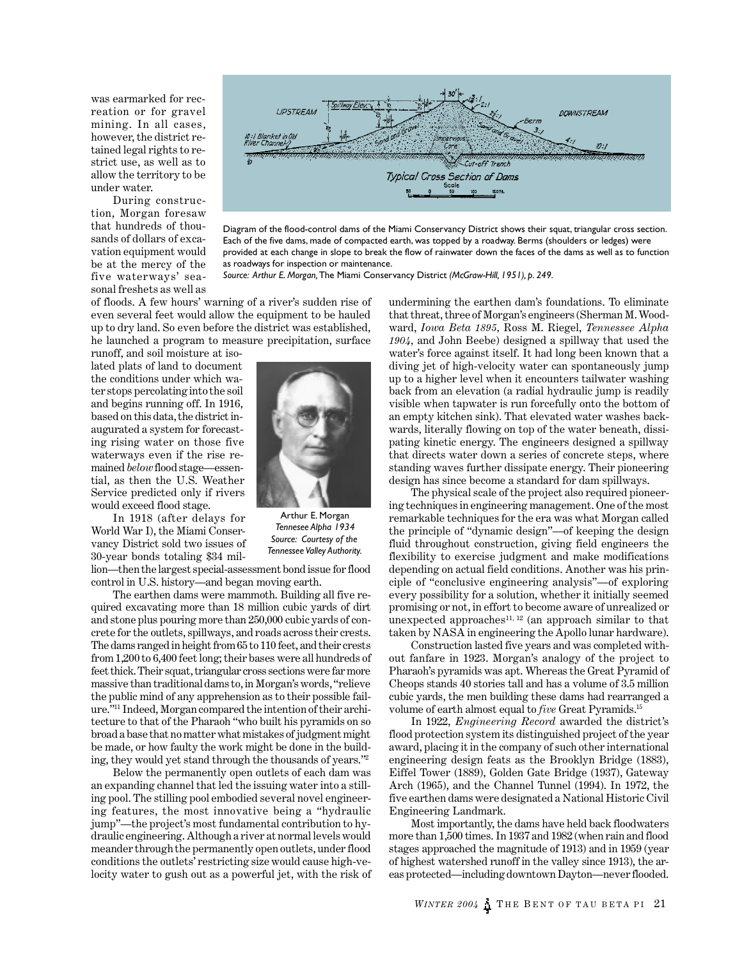was earmarked for recreation or for gravel mining. In all cases, however, the district retained legal rights to restrict use, as well as to allow the territory to be under water.

During construction, Morgan foresaw that hundreds of thousands of dollars of excavation equipment would be at the mercy of the five waterways' seasonal freshets as well as



Diagram of the flood-control dams of the Miami Conservancy District shows their squat, triangular cross section. Each of the five dams, made of compacted earth, was topped by a roadway. Berms (shoulders or ledges) were provided at each change in slope to break the flow of rainwater down the faces of the dams as well as to function as roadways for inspection or maintenance.

*Source: Arthur E. Morgan,* The Miami Conservancy District *(McGraw-Hill, 1951), p. 249.*

of floods. A few hours' warning of a river's sudden rise of even several feet would allow the equipment to be hauled up to dry land. So even before the district was established, he launched a program to measure precipitation, surface

runoff, and soil moisture at isolated plats of land to document the conditions under which water stops percolating into the soil and begins running off. In 1916, based on this data, the district inaugurated a system for forecasting rising water on those five waterways even if the rise remained *below* flood stage—essential, as then the U.S. Weather Service predicted only if rivers would exceed flood stage.

In 1918 (after delays for World War I), the Miami Conservancy District sold two issues of 30-year bonds totaling \$34 mil-

lion—then the largest special-assessment bond issue for flood control in U.S. history—and began moving earth.

The earthen dams were mammoth. Building all five required excavating more than 18 million cubic yards of dirt and stone plus pouring more than 250,000 cubic yards of concrete for the outlets, spillways, and roads across their crests. The dams ranged in height from 65 to 110 feet, and their crests from 1,200 to 6,400 feet long; their bases were all hundreds of feet thick. Their squat, triangular cross sections were far more massive than traditional dams to, in Morgan's words, "relieve the public mind of any apprehension as to their possible failure."11 Indeed, Morgan compared the intention of their architecture to that of the Pharaoh "who built his pyramids on so broad a base that no matter what mistakes of judgment might be made, or how faulty the work might be done in the building, they would yet stand through the thousands of years."<sup>2</sup>

Below the permanently open outlets of each dam was an expanding channel that led the issuing water into a stilling pool. The stilling pool embodied several novel engineering features, the most innovative being a "hydraulic jump"—the project's most fundamental contribution to hydraulic engineering. Although a river at normal levels would meander through the permanently open outlets, under flood conditions the outlets' restricting size would cause high-velocity water to gush out as a powerful jet, with the risk of



Arthur E. Morgan *Tennesee Alpha 1934 Source: Courtesy of the Tennessee Valley Authority.*

undermining the earthen dam's foundations. To eliminate that threat, three of Morgan's engineers (Sherman M. Woodward, *Iowa Beta 1895,* Ross M. Riegel, *Tennessee Alpha 1904,* and John Beebe) designed a spillway that used the water's force against itself. It had long been known that a diving jet of high-velocity water can spontaneously jump up to a higher level when it encounters tailwater washing back from an elevation (a radial hydraulic jump is readily visible when tapwater is run forcefully onto the bottom of an empty kitchen sink). That elevated water washes backwards, literally flowing on top of the water beneath, dissipating kinetic energy. The engineers designed a spillway that directs water down a series of concrete steps, where standing waves further dissipate energy. Their pioneering design has since become a standard for dam spillways.

The physical scale of the project also required pioneering techniques in engineering management. One of the most remarkable techniques for the era was what Morgan called the principle of "dynamic design"—of keeping the design fluid throughout construction, giving field engineers the flexibility to exercise judgment and make modifications depending on actual field conditions. Another was his principle of "conclusive engineering analysis"—of exploring every possibility for a solution, whether it initially seemed promising or not, in effort to become aware of unrealized or unexpected approaches<sup>11, 12</sup> (an approach similar to that taken by NASA in engineering the Apollo lunar hardware).

Construction lasted five years and was completed without fanfare in 1923. Morgan's analogy of the project to Pharaoh's pyramids was apt. Whereas the Great Pyramid of Cheops stands 40 stories tall and has a volume of 3.5 million cubic yards, the men building these dams had rearranged a volume of earth almost equal to *five* Great Pyramids.<sup>15</sup>

In 1922, *Engineering Record* awarded the district's flood protection system its distinguished project of the year award, placing it in the company of such other international engineering design feats as the Brooklyn Bridge (1883), Eiffel Tower (1889), Golden Gate Bridge (1937), Gateway Arch (1965), and the Channel Tunnel (1994). In 1972, the five earthen dams were designated a National Historic Civil Engineering Landmark.

Most importantly, the dams have held back floodwaters more than 1,500 times. In 1937 and 1982 (when rain and flood stages approached the magnitude of 1913) and in 1959 (year of highest watershed runoff in the valley since 1913), the areas protected—including downtown Dayton—never flooded.